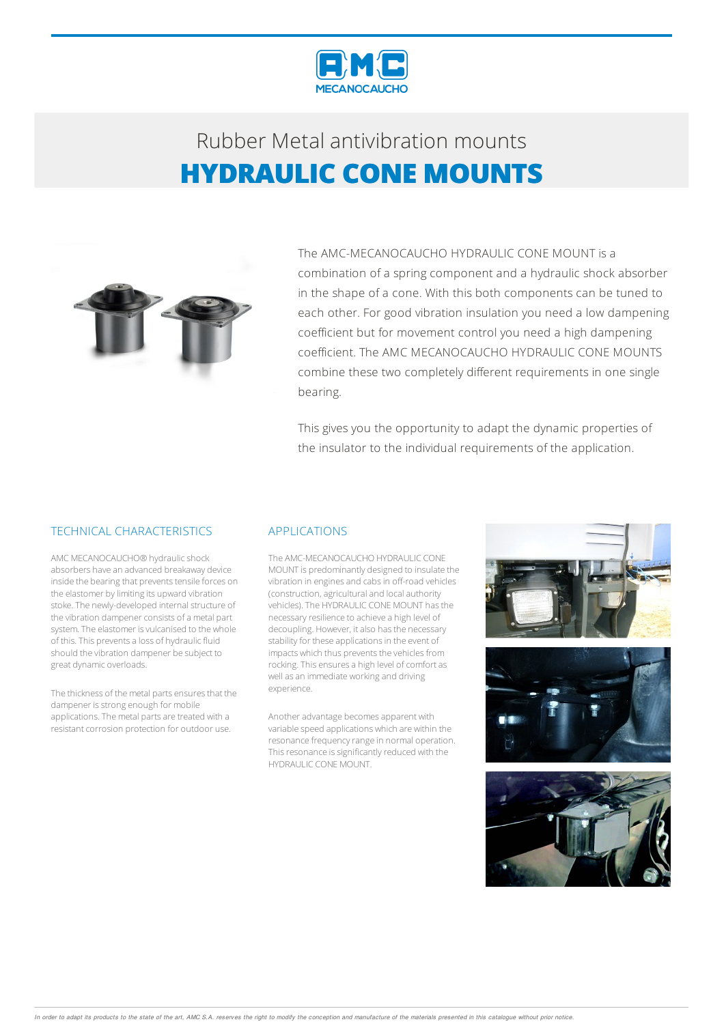

## Rubber Metalantivibration mounts **HYDRAULIC CONE MOUNTS**



The AMC-MECANOCAUCHO HYDRAULIC CONE MOUNT is a combination of a spring component and a hydraulic shock absorber in the shape of a cone. With this both components can be tuned to each other. For good vibration insulation you need a low dampening coefficient but for movement control you need a high dampening coefficient. The AMC MECANOCAUCHO HYDRAULIC CONE MOUNTS combine these two completely different requirements in one single bearing.

This gives you the opportunity to adapt the dynamic properties of the insulator to the individual requirements of the application.

### TECHNICAL CHARACTERISTICS

AMC MECANOCAUCHO® hydraulicshock absorbers have an advanced breakaway device inside the bearing that prevents tensile forces on the elastomer by limiting its upward vibration stoke. The newly-developed internal structure of the vibration dampener consists of a metal part system. The elastomer is vulcanised to the whole of this. This prevents a loss of hydraulic fluid should the vibration dampener be subject to great dynamic overloads.

The thickness of the metal parts ensures that the dampener is strong enough for mobile applications. The metal parts are treated with a resistant corrosion protection for outdoor use.

#### APPLICATIONS

The AMC-MECANOCAUCHO HYDRAULIC CONE MOUNT is predominantly designed to insulate the vibration in engines and cabs in off-road vehicles (construction, agricultural and local authority vehicles).The HYDRAULIC CONEMOUNT hasthe necessary resilience to achieve a high level of decoupling. However, it also has the necessary stability for these applications in the event of impacts which thus prevents the vehicles from rocking. This ensures a high level of comfort as well as an immediate working and driving experience.

Another advantage becomes apparent with variable speed applications which are within the resonance frequency range in normal operation. This resonance is significantly reduced with the HYDRAULIC CONEMOUNT.



In order to adapt its products to the state of the art, AMC S.A. reserves the right to modify the conception and manufacture of the materials presented in this catalogue without prior notice.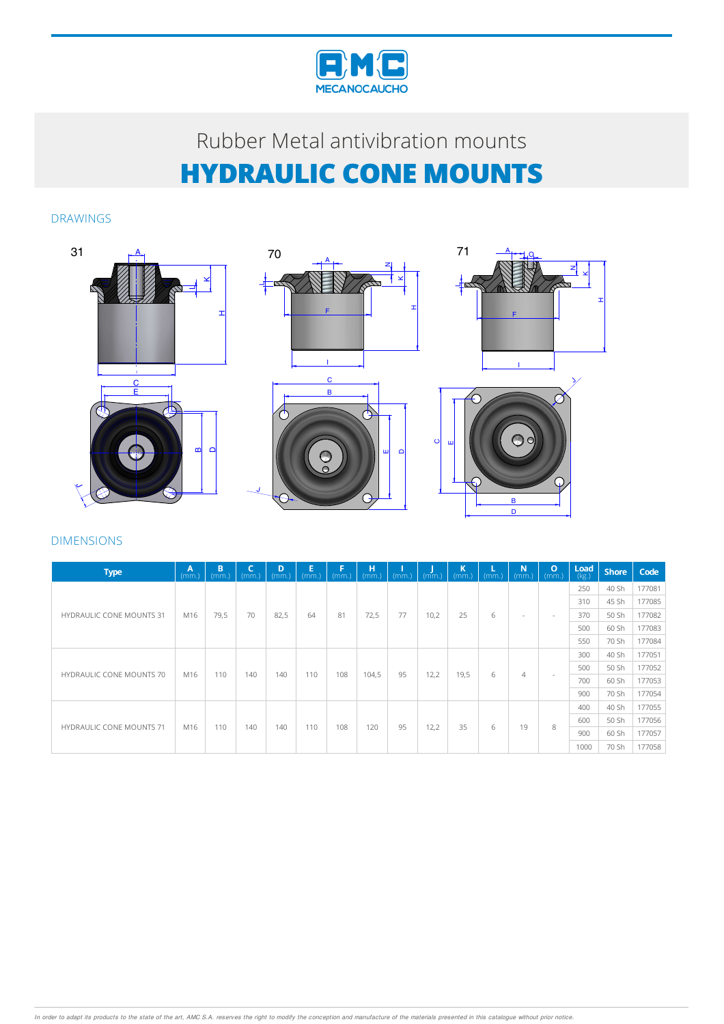

# Rubber Metal antivibration mounts **HYDRAULIC CONE MOUNTS**

### DRAWINGS









## DIMENSIONS

| <b>Type</b>                     | /Av<br>(mm) | B<br>(mm) | C<br>(mm. | D<br>(mm.) | Е<br>(mm.) | F<br>(mm) | н<br>(mm) | (mm. | (mm) | К<br>(mm. | (mm.) | N<br>(mm.)               | $\mathbf{o}$<br>(mm) | Load<br>(kg.) | <b>Shore</b> | Code   |
|---------------------------------|-------------|-----------|-----------|------------|------------|-----------|-----------|------|------|-----------|-------|--------------------------|----------------------|---------------|--------------|--------|
| <b>HYDRAULIC CONE MOUNTS 31</b> | M16         | 79,5      | 70        | 82,5       | 64         | 81        | 72,5      | 77   | 10,2 | 25        | 6     | $\overline{\phantom{a}}$ | $\sim$               | 250           | 40 Sh        | 177081 |
|                                 |             |           |           |            |            |           |           |      |      |           |       |                          |                      | 310           | 45 Sh        | 177085 |
|                                 |             |           |           |            |            |           |           |      |      |           |       |                          |                      | 370           | 50 Sh        | 177082 |
|                                 |             |           |           |            |            |           |           |      |      |           |       |                          |                      | 500           | 60 Sh        | 177083 |
|                                 |             |           |           |            |            |           |           |      |      |           |       |                          |                      | 550           | 70 Sh        | 177084 |
| <b>HYDRAULIC CONE MOUNTS 70</b> | M16         | 110       | 140       | 140        | 110        | 108       | 104,5     | 95   | 12,2 | 19,5      | 6     | $\overline{4}$           |                      | 300           | 40 Sh        | 177051 |
|                                 |             |           |           |            |            |           |           |      |      |           |       |                          |                      | 500           | 50 Sh        | 177052 |
|                                 |             |           |           |            |            |           |           |      |      |           |       |                          |                      | 700           | 60 Sh        | 177053 |
|                                 |             |           |           |            |            |           |           |      |      |           |       |                          |                      | 900           | 70 Sh        | 177054 |
| <b>HYDRAULIC CONE MOUNTS 71</b> | M16         | 110       | 140       | 140        | 110        | 108       | 120       | 95   | 12,2 | 35        | 6     | 19                       | 8                    | 400           | 40 Sh        | 177055 |
|                                 |             |           |           |            |            |           |           |      |      |           |       |                          |                      | 600           | 50 Sh        | 177056 |
|                                 |             |           |           |            |            |           |           |      |      |           |       |                          |                      | 900           | 60 Sh        | 177057 |
|                                 |             |           |           |            |            |           |           |      |      |           |       |                          |                      | 1000          | 70 Sh        | 177058 |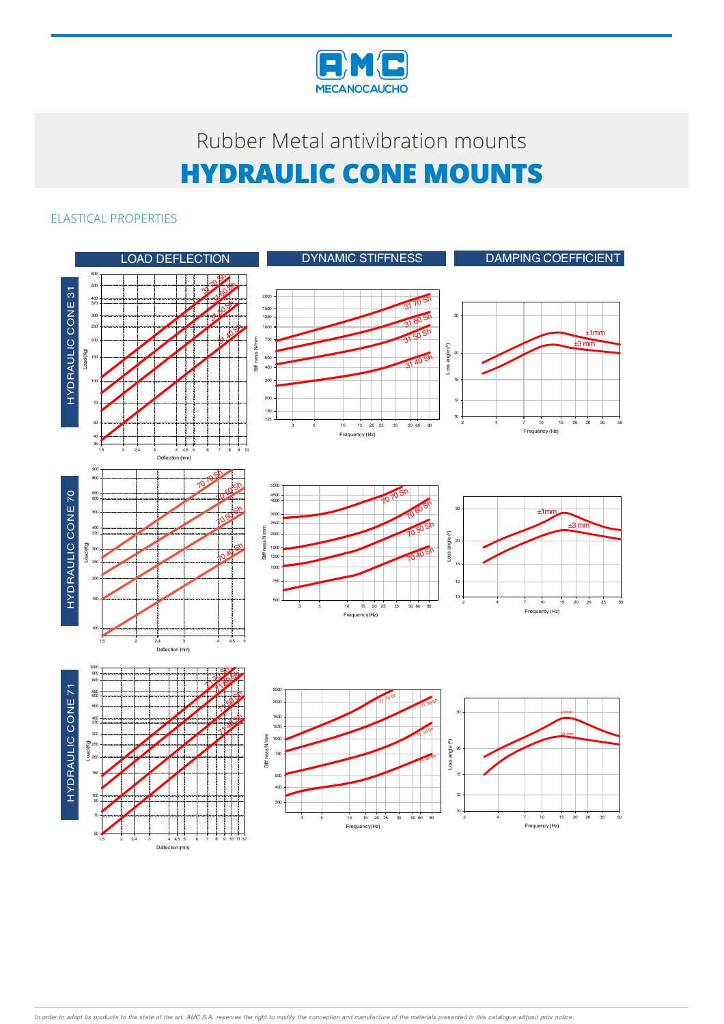

# Rubber Metal antivibration mounts **HYDRAULIC CONE MOUNTS**

## ELASTICAL PROPERTIES



Deflection (mm)